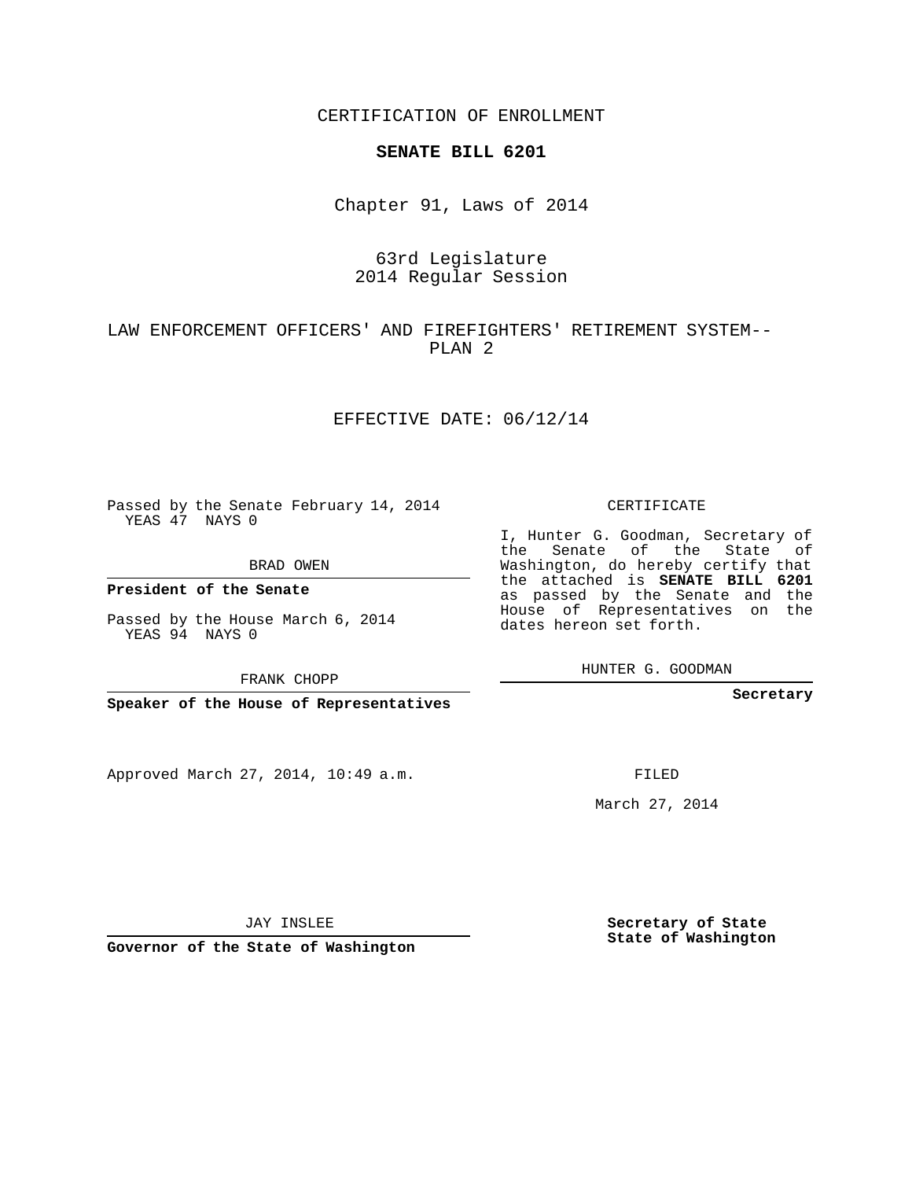CERTIFICATION OF ENROLLMENT

#### **SENATE BILL 6201**

Chapter 91, Laws of 2014

## 63rd Legislature 2014 Regular Session

LAW ENFORCEMENT OFFICERS' AND FIREFIGHTERS' RETIREMENT SYSTEM-- PLAN 2

#### EFFECTIVE DATE: 06/12/14

Passed by the Senate February 14, 2014 YEAS 47 NAYS 0

BRAD OWEN

YEAS 94 NAYS 0

Approved March 27, 2014, 10:49 a.m.

CERTIFICATE

I, Hunter G. Goodman, Secretary of the Senate of the State of Washington, do hereby certify that the attached is **SENATE BILL 6201** as passed by the Senate and the House of Representatives on the dates hereon set forth.

HUNTER G. GOODMAN

**Secretary**

FILED

March 27, 2014

**Secretary of State State of Washington**

JAY INSLEE

**Governor of the State of Washington**

**President of the Senate**

Passed by the House March 6, 2014

FRANK CHOPP

**Speaker of the House of Representatives**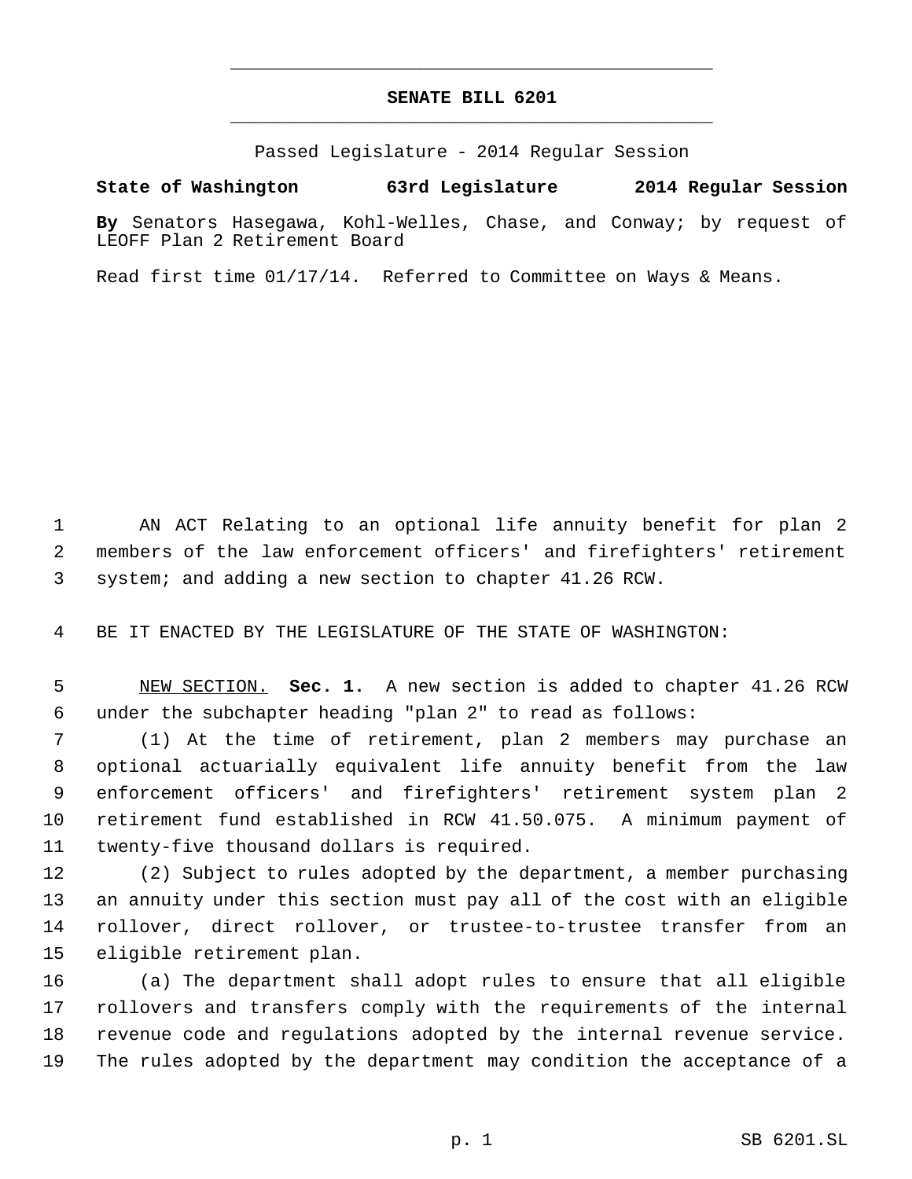# **SENATE BILL 6201** \_\_\_\_\_\_\_\_\_\_\_\_\_\_\_\_\_\_\_\_\_\_\_\_\_\_\_\_\_\_\_\_\_\_\_\_\_\_\_\_\_\_\_\_\_

\_\_\_\_\_\_\_\_\_\_\_\_\_\_\_\_\_\_\_\_\_\_\_\_\_\_\_\_\_\_\_\_\_\_\_\_\_\_\_\_\_\_\_\_\_

Passed Legislature - 2014 Regular Session

### **State of Washington 63rd Legislature 2014 Regular Session**

**By** Senators Hasegawa, Kohl-Welles, Chase, and Conway; by request of LEOFF Plan 2 Retirement Board

Read first time 01/17/14. Referred to Committee on Ways & Means.

 AN ACT Relating to an optional life annuity benefit for plan 2 members of the law enforcement officers' and firefighters' retirement system; and adding a new section to chapter 41.26 RCW.

BE IT ENACTED BY THE LEGISLATURE OF THE STATE OF WASHINGTON:

 NEW SECTION. **Sec. 1.** A new section is added to chapter 41.26 RCW under the subchapter heading "plan 2" to read as follows:

 (1) At the time of retirement, plan 2 members may purchase an optional actuarially equivalent life annuity benefit from the law enforcement officers' and firefighters' retirement system plan 2 retirement fund established in RCW 41.50.075. A minimum payment of twenty-five thousand dollars is required.

 (2) Subject to rules adopted by the department, a member purchasing an annuity under this section must pay all of the cost with an eligible rollover, direct rollover, or trustee-to-trustee transfer from an eligible retirement plan.

 (a) The department shall adopt rules to ensure that all eligible rollovers and transfers comply with the requirements of the internal revenue code and regulations adopted by the internal revenue service. The rules adopted by the department may condition the acceptance of a